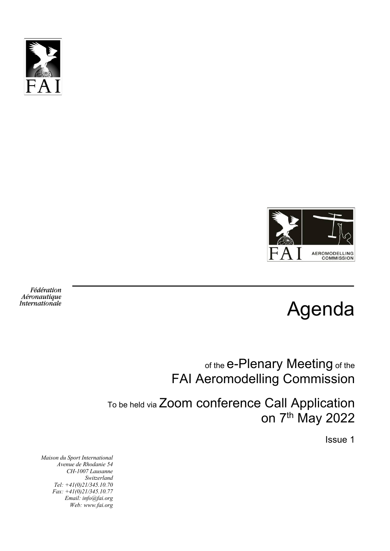



Agenda

of the e-Plenary Meeting of the FAI Aeromodelling Commission

To be held via Zoom conference Call Application on 7th May 2022

Issue 1

*Maison du Sport International Avenue de Rhodanie 54 CH-1007 Lausanne Switzerland Tel: +41(0)21/345.10.70 Fax: +41(0)21/345.10.77 Email: info@fai.org Web: www.fai.org*

Fédération Aéronautique Internationale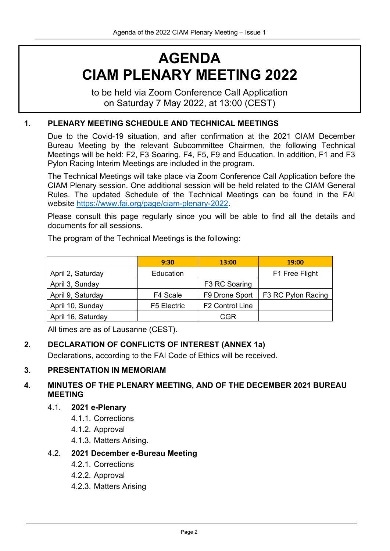# **AGENDA CIAM PLENARY MEETING 2022**

to be held via Zoom Conference Call Application on Saturday 7 May 2022, at 13:00 (CEST)

#### **1. PLENARY MEETING SCHEDULE AND TECHNICAL MEETINGS**

Due to the Covid-19 situation, and after confirmation at the 2021 CIAM December Bureau Meeting by the relevant Subcommittee Chairmen, the following Technical Meetings will be held: F2, F3 Soaring, F4, F5, F9 and Education. In addition, F1 and F3 Pylon Racing Interim Meetings are included in the program.

The Technical Meetings will take place via Zoom Conference Call Application before the CIAM Plenary session. One additional session will be held related to the CIAM General Rules. The updated Schedule of the Technical Meetings can be found in the FAI website https://www.fai.org/page/ciam-plenary-2022.

Please consult this page regularly since you will be able to find all the details and documents for all sessions.

The program of the Technical Meetings is the following:

|                    | 9:30        | 13:00                       | 19:00              |
|--------------------|-------------|-----------------------------|--------------------|
| April 2, Saturday  | Education   |                             | F1 Free Flight     |
| April 3, Sunday    |             | F3 RC Soaring               |                    |
| April 9, Saturday  | F4 Scale    | F9 Drone Sport              | F3 RC Pylon Racing |
| April 10, Sunday   | F5 Electric | F <sub>2</sub> Control Line |                    |
| April 16, Saturday |             | CGR                         |                    |

All times are as of Lausanne (CEST).

### **2. DECLARATION OF CONFLICTS OF INTEREST (ANNEX 1a)**

Declarations, according to the FAI Code of Ethics will be received.

#### **3. PRESENTATION IN MEMORIAM**

### **4. MINUTES OF THE PLENARY MEETING, AND OF THE DECEMBER 2021 BUREAU MEETING**

#### 4.1. **2021 e-Plenary**

- 4.1.1. Corrections
- 4.1.2. Approval
- 4.1.3. Matters Arising.

#### 4.2. **2021 December e-Bureau Meeting**

- 4.2.1. Corrections
- 4.2.2. Approval
- 4.2.3. Matters Arising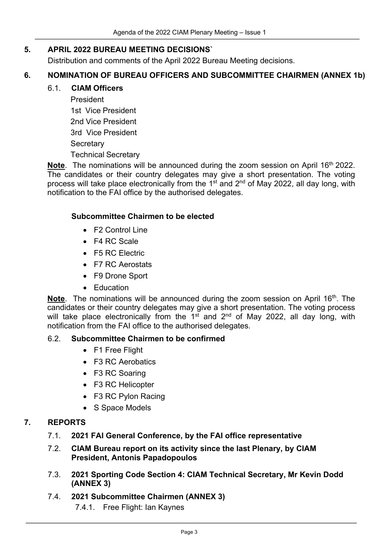#### **5. APRIL 2022 BUREAU MEETING DECISIONS`**

Distribution and comments of the April 2022 Bureau Meeting decisions.

### **6. NOMINATION OF BUREAU OFFICERS AND SUBCOMMITTEE CHAIRMEN (ANNEX 1b)**

#### 6.1. **CIAM Officers**

President 1st Vice President 2nd Vice President 3rd Vice President **Secretary** Technical Secretary

**Note**. The nominations will be announced during the zoom session on April 16<sup>th</sup> 2022. The candidates or their country delegates may give a short presentation. The voting process will take place electronically from the  $1<sup>st</sup>$  and  $2<sup>nd</sup>$  of May 2022, all day long, with notification to the FAI office by the authorised delegates.

#### **Subcommittee Chairmen to be elected**

- F2 Control Line
- F4 RC Scale
- F5 RC Electric
- F7 RC Aerostats
- F9 Drone Sport
- Education

**Note.** The nominations will be announced during the zoom session on April 16<sup>th</sup>. The candidates or their country delegates may give a short presentation. The voting process will take place electronically from the  $1<sup>st</sup>$  and  $2<sup>nd</sup>$  of May 2022, all day long, with notification from the FAI office to the authorised delegates.

#### 6.2. **Subcommittee Chairmen to be confirmed**

- F1 Free Flight
- F3 RC Aerobatics
- F3 RC Soaring
- F3 RC Helicopter
- F3 RC Pylon Racing
- S Space Models

#### **7. REPORTS**

- 7.1. **2021 FAI General Conference, by the FAI office representative**
- 7.2. **CIAM Bureau report on its activity since the last Plenary, by CIAM President, Antonis Papadopoulos**
- 7.3. **2021 Sporting Code Section 4: CIAM Technical Secretary, Mr Kevin Dodd (ANNEX 3)**
- 7.4. **2021 Subcommittee Chairmen (ANNEX 3)**
	- 7.4.1. Free Flight: Ian Kaynes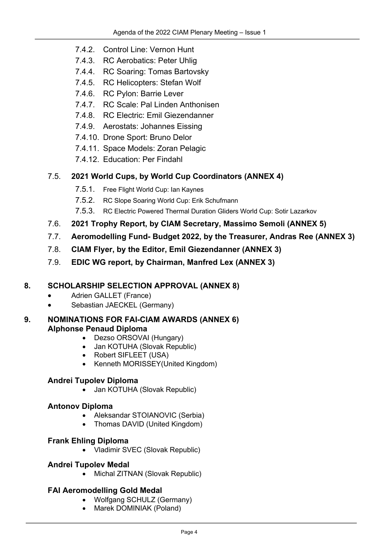- 7.4.2. Control Line: Vernon Hunt
- 7.4.3. RC Aerobatics: Peter Uhlig
- 7.4.4. RC Soaring: Tomas Bartovsky
- 7.4.5. RC Helicopters: Stefan Wolf
- 7.4.6. RC Pylon: Barrie Lever
- 7.4.7. RC Scale: Pal Linden Anthonisen
- 7.4.8. RC Electric: Emil Giezendanner
- 7.4.9. Aerostats: Johannes Eissing
- 7.4.10. Drone Sport: Bruno Delor
- 7.4.11. Space Models: Zoran Pelagic
- 7.4.12. Education: Per Findahl

### 7.5. **2021 World Cups, by World Cup Coordinators (ANNEX 4)**

- 7.5.1. Free Flight World Cup: Ian Kaynes
- 7.5.2. RC Slope Soaring World Cup: Erik Schufmann
- 7.5.3. RC Electric Powered Thermal Duration Gliders World Cup: Sotir Lazarkov
- 7.6. **2021 Trophy Report, by CIAM Secretary, Massimo Semoli (ANNEX 5)**
- 7.7. **Aeromodelling Fund- Budget 2022, by the Treasurer, Andras Ree (ANNEX 3)**
- 7.8. **CIAM Flyer, by the Editor, Emil Giezendanner (ANNEX 3)**
- 7.9. **EDIC WG report, by Chairman, Manfred Lex (ANNEX 3)**

### **8. SCHOLARSHIP SELECTION APPROVAL (ANNEX 8)**

- Adrien GALLET (France)
- Sebastian JAECKEL (Germany)

### **9. NOMINATIONS FOR FAI-CIAM AWARDS (ANNEX 6) Alphonse Penaud Diploma**

- Dezso ORSOVAI (Hungary)
- Jan KOTUHA (Slovak Republic)
- Robert SIFLEET (USA)
- Kenneth MORISSEY(United Kingdom)

### **Andrei Tupolev Diploma**

• Jan KOTUHA (Slovak Republic)

### **Antonov Diploma**

- Aleksandar STOIANOVIC (Serbia)
- Thomas DAVID (United Kingdom)

### **Frank Ehling Diploma**

• Vladimir SVEC (Slovak Republic)

### **Andrei Tupolev Medal**

• Michal ZITNAN (Slovak Republic)

### **FAI Aeromodelling Gold Medal**

- Wolfgang SCHULZ (Germany)
- Marek DOMINIAK (Poland)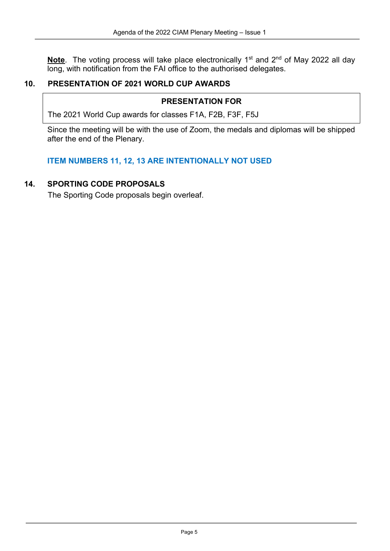**Note**. The voting process will take place electronically 1<sup>st</sup> and 2<sup>nd</sup> of May 2022 all day long, with notification from the FAI office to the authorised delegates.

#### **10. PRESENTATION OF 2021 WORLD CUP AWARDS**

#### **PRESENTATION FOR**

The 2021 World Cup awards for classes F1A, F2B, F3F, F5J

Since the meeting will be with the use of Zoom, the medals and diplomas will be shipped after the end of the Plenary.

**ITEM NUMBERS 11, 12, 13 ARE INTENTIONALLY NOT USED**

### **14. SPORTING CODE PROPOSALS**

The Sporting Code proposals begin overleaf.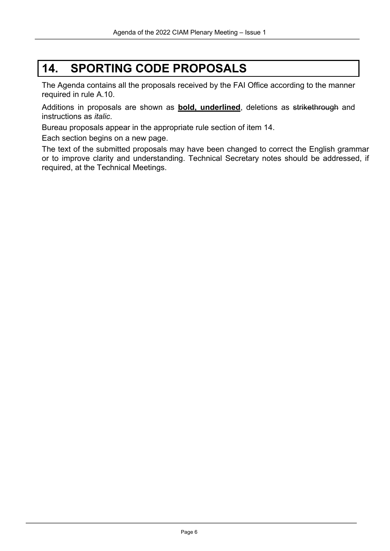# **14. SPORTING CODE PROPOSALS**

The Agenda contains all the proposals received by the FAI Office according to the manner required in rule A.10.

Additions in proposals are shown as **bold, underlined**, deletions as strikethrough and instructions as *italic*.

Bureau proposals appear in the appropriate rule section of item 14.

Each section begins on a new page.

The text of the submitted proposals may have been changed to correct the English grammar or to improve clarity and understanding. Technical Secretary notes should be addressed, if required, at the Technical Meetings.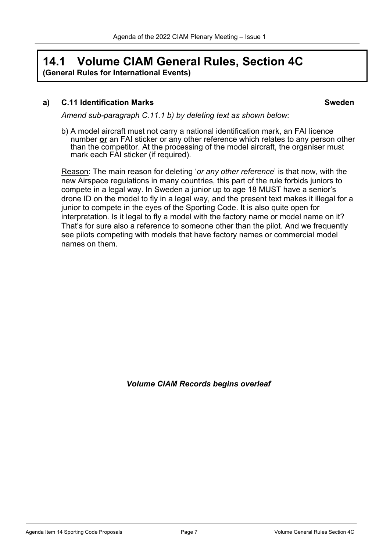## **14.1 Volume CIAM General Rules, Section 4C (General Rules for International Events)**

#### **a) C.11 Identification Marks Sweden**

*Amend sub-paragraph C.11.1 b) by deleting text as shown below:*

b) A model aircraft must not carry a national identification mark, an FAI licence number **or** an FAI sticker or any other reference which relates to any person other than the competitor. At the processing of the model aircraft, the organiser must mark each FAI sticker (if required).

Reason: The main reason for deleting '*or any other reference*' is that now, with the new Airspace regulations in many countries, this part of the rule forbids juniors to compete in a legal way. In Sweden a junior up to age 18 MUST have a senior's drone ID on the model to fly in a legal way, and the present text makes it illegal for a junior to compete in the eyes of the Sporting Code. It is also quite open for interpretation. Is it legal to fly a model with the factory name or model name on it? That's for sure also a reference to someone other than the pilot. And we frequently see pilots competing with models that have factory names or commercial model names on them.

*Volume CIAM Records begins overleaf*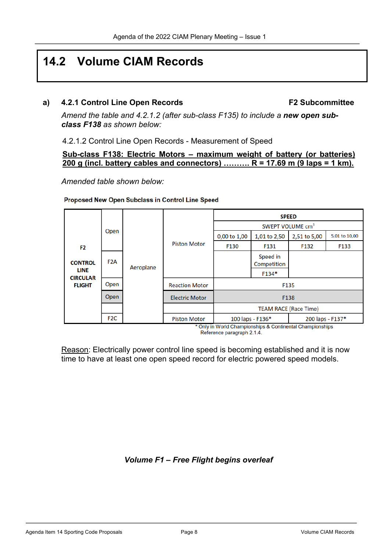# **14.2 Volume CIAM Records**

#### **a) 4.2.1 Control Line Open Records F2 Subcommittee**

*Amend the table and 4.2.1.2 (after sub-class F135) to include a new open subclass F138 as shown below:* 

4.2.1.2 Control Line Open Records - Measurement of Speed

#### **Sub-class F138: Electric Motors – maximum weight of battery (or batteries) 200 g (incl. battery cables and connectors) ………. R = 17.69 m (9 laps = 1 km).**

*Amended table shown below:*

#### Proposed New Open Subclass in Control Line Speed

|                                |                  |           |                              | <b>SPEED</b>                 |                         |                       |               |
|--------------------------------|------------------|-----------|------------------------------|------------------------------|-------------------------|-----------------------|---------------|
|                                |                  |           |                              | SWEPT VOLUME cm <sup>3</sup> |                         |                       |               |
|                                | Open             |           |                              | 0,00 to 1,00                 | 1,01 to 2,50            | 2,51 to 5,00          | 5,01 to 10,00 |
| F <sub>2</sub>                 |                  |           | <b>Piston Motor</b>          | F130                         | F131                    | F132                  | F133          |
| <b>CONTROL</b>                 | F <sub>2</sub> A | Aeroplane |                              |                              | Speed in<br>Competition |                       |               |
| <b>LINE</b><br><b>CIRCULAR</b> |                  |           |                              |                              | F134*                   |                       |               |
| <b>FLIGHT</b>                  | Open             |           | <b>Reaction Motor</b>        |                              |                         | F135                  |               |
|                                | Open             |           | <b>Electric Motor</b>        | F138                         |                         |                       |               |
|                                |                  |           | <b>TEAM RACE (Race Time)</b> |                              |                         |                       |               |
|                                | F <sub>2</sub> C |           | <b>Piston Motor</b>          |                              | 100 laps - F136*        | 200 laps - F137*<br>. |               |

\* Only in World Championships & Continental Championships Reference paragraph 2.1.4.

Reason: Electrically power control line speed is becoming established and it is now time to have at least one open speed record for electric powered speed models.

### *Volume F1 – Free Flight begins overleaf*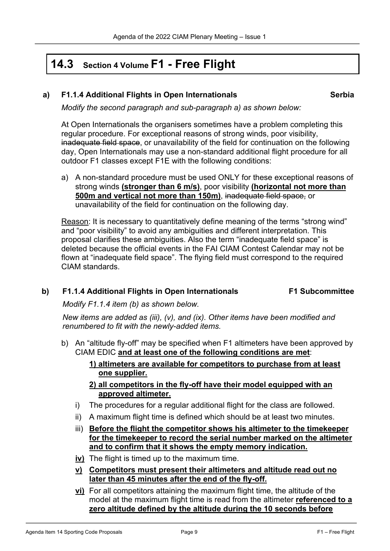# **14.3 Section <sup>4</sup> Volume F1 - Free Flight**

#### **a) F1.1.4 Additional Flights in Open Internationals Serbia**

*Modify the second paragraph and sub-paragraph a) as shown below:*

At Open Internationals the organisers sometimes have a problem completing this regular procedure. For exceptional reasons of strong winds, poor visibility, inadequate field space, or unavailability of the field for continuation on the following day, Open Internationals may use a non-standard additional flight procedure for all outdoor F1 classes except F1E with the following conditions:

a) A non-standard procedure must be used ONLY for these exceptional reasons of strong winds **(stronger than 6 m/s)**, poor visibility **(horizontal not more than 500m and vertical not more than 150m)**, inadequate field space, or unavailability of the field for continuation on the following day.

Reason: It is necessary to quantitatively define meaning of the terms "strong wind" and "poor visibility" to avoid any ambiguities and different interpretation. This proposal clarifies these ambiguities. Also the term "inadequate field space" is deleted because the official events in the FAI CIAM Contest Calendar may not be flown at "inadequate field space". The flying field must correspond to the required CIAM standards.

#### **b) F1.1.4 Additional Flights in Open Internationals F1 Subcommittee**

*Modify F1.1.4 item (b) as shown below.* 

*New items are added as (iii), (v), and (ix). Other items have been modified and renumbered to fit with the newly-added items.*

- b) An "altitude fly-off" may be specified when F1 altimeters have been approved by CIAM EDIC **and at least one of the following conditions are met**:
	- **1) altimeters are available for competitors to purchase from at least one supplier.**
	- **2) all competitors in the fly-off have their model equipped with an approved altimeter.**
	- i) The procedures for a regular additional flight for the class are followed.
	- ii) A maximum flight time is defined which should be at least two minutes.
	- iii) **Before the flight the competitor shows his altimeter to the timekeeper for the timekeeper to record the serial number marked on the altimeter and to confirm that it shows the empty memory indication.**
	- **iv)** The flight is timed up to the maximum time.
	- **v) Competitors must present their altimeters and altitude read out no later than 45 minutes after the end of the fly-off.**
	- **vi)** For all competitors attaining the maximum flight time, the altitude of the model at the maximum flight time is read from the altimeter **referenced to a zero altitude defined by the altitude during the 10 seconds before**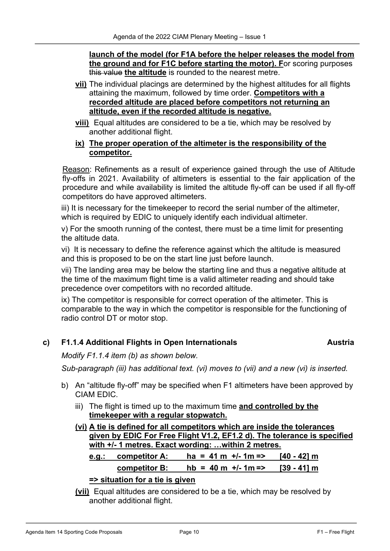**launch of the model (for F1A before the helper releases the model from the ground and for F1C before starting the motor). F**or scoring purposes this value **the altitude** is rounded to the nearest metre.

- **vii)** The individual placings are determined by the highest altitudes for all flights attaining the maximum, followed by time order. **Competitors with a recorded altitude are placed before competitors not returning an altitude, even if the recorded altitude is negative.**
- **viii)** Equal altitudes are considered to be a tie, which may be resolved by another additional flight.

#### **ix) The proper operation of the altimeter is the responsibility of the competitor.**

Reason: Refinements as a result of experience gained through the use of Altitude fly-offs in 2021. Availability of altimeters is essential to the fair application of the procedure and while availability is limited the altitude fly-off can be used if all fly-off competitors do have approved altimeters.

iii) It is necessary for the timekeeper to record the serial number of the altimeter, which is required by EDIC to uniquely identify each individual altimeter.

v) For the smooth running of the contest, there must be a time limit for presenting the altitude data.

vi) It is necessary to define the reference against which the altitude is measured and this is proposed to be on the start line just before launch.

vii) The landing area may be below the starting line and thus a negative altitude at the time of the maximum flight time is a valid altimeter reading and should take precedence over competitors with no recorded altitude.

ix) The competitor is responsible for correct operation of the altimeter. This is comparable to the way in which the competitor is responsible for the functioning of radio control DT or motor stop.

### **c) F1.1.4 Additional Flights in Open Internationals Austria**

*Modify F1.1.4 item (b) as shown below.* 

*Sub-paragraph (iii) has additional text. (vi) moves to (vii) and a new (vi) is inserted.*

- b) An "altitude fly-off" may be specified when F1 altimeters have been approved by CIAM EDIC.
	- iii) The flight is timed up to the maximum time **and controlled by the timekeeper with a regular stopwatch.**
	- **(vi) A tie is defined for all competitors which are inside the tolerances given by EDIC For Free Flight V1.2, EF1.2 d). The tolerance is specified with +/- 1 metres. Exact wording: …within 2 metres. e.g.: competitor A: ha = 41 m +/- 1m => [40 - 42] m**

**competitor B: hb = 40 m +/- 1m => [39 - 41] m**

#### **=> situation for a tie is given**

**(vii)** Equal altitudes are considered to be a tie, which may be resolved by another additional flight.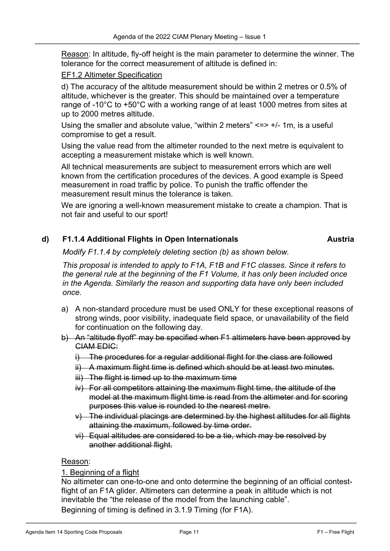Reason: In altitude, fly-off height is the main parameter to determine the winner. The tolerance for the correct measurement of altitude is defined in:

#### EF1.2 Altimeter Specification

d) The accuracy of the altitude measurement should be within 2 metres or 0.5% of altitude, whichever is the greater. This should be maintained over a temperature range of -10°C to +50°C with a working range of at least 1000 metres from sites at up to 2000 metres altitude.

Using the smaller and absolute value, "within 2 meters"  $\le$   $\ge$   $+/-$  1m, is a useful compromise to get a result.

Using the value read from the altimeter rounded to the next metre is equivalent to accepting a measurement mistake which is well known.

All technical measurements are subject to measurement errors which are well known from the certification procedures of the devices. A good example is Speed measurement in road traffic by police. To punish the traffic offender the measurement result minus the tolerance is taken.

We are ignoring a well-known measurement mistake to create a champion. That is not fair and useful to our sport!

#### **d) F1.1.4 Additional Flights in Open Internationals Austria**

*Modify F1.1.4 by completely deleting section (b) as shown below.* 

*This proposal is intended to apply to F1A, F1B and F1C classes. Since it refers to the general rule at the beginning of the F1 Volume, it has only been included once in the Agenda. Similarly the reason and supporting data have only been included once.*

- a) A non-standard procedure must be used ONLY for these exceptional reasons of strong winds, poor visibility, inadequate field space, or unavailability of the field for continuation on the following day.
- b) An "altitude flyoff" may be specified when F1 altimeters have been approved by CIAM EDIC:
	- i) The procedures for a regular additional flight for the class are followed
	- ii) A maximum flight time is defined which should be at least two minutes.
	- iii) The flight is timed up to the maximum time
	- iv) For all competitors attaining the maximum flight time, the altitude of the model at the maximum flight time is read from the altimeter and for scoring purposes this value is rounded to the nearest metre.
	- $v)$  The individual placings are determined by the highest altitudes for all flights attaining the maximum, followed by time order.
	- vi) Equal altitudes are considered to be a tie, which may be resolved by another additional flight.

#### Reason:

#### 1. Beginning of a flight

No altimeter can one-to-one and onto determine the beginning of an official contestflight of an F1A glider. Altimeters can determine a peak in altitude which is not inevitable the "the release of the model from the launching cable".

Beginning of timing is defined in 3.1.9 Timing (for F1A).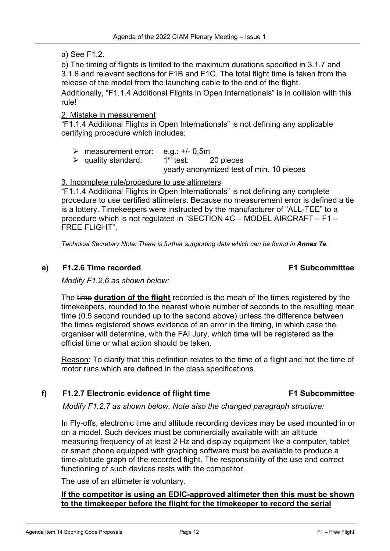#### a) See F1.2.

b) The timing of flights is limited to the maximum durations specified in 3.1.7 and 3.1.8 and relevant sections for F1B and F1C. The total flight time is taken from the release of the model from the launching cable to the end of the flight.

Additionally, "F1.1.4 Additional Flights in Open Internationals" is in collision with this rule!

#### 2. Mistake in measurement

"F1.1.4 Additional Flights in Open Internationals" is not defining any applicable certifying procedure which includes:

- $\triangleright$  measurement error: e.g.: +/- 0,5m
- $\triangleright$  quality standard:  $1^{\text{st}}$  test: 20 pieces

yearly anonymized test of min. 10 pieces

#### 3. Incomplete rule/procedure to use altimeters

"F1.1.4 Additional Flights in Open Internationals" is not defining any complete procedure to use certified altimeters. Because no measurement error is defined a tie is a lottery. Timekeepers were instructed by the manufacturer of "ALL-TEE" to a procedure which is not regulated in "SECTION 4C – MODEL AIRCRAFT – F1 – FREE FLIGHT".

*Technical Secretary Note: There is further supporting data which can be found in Annex 7a.*

#### **e) F1.2.6 Time recorded F1 Subcommittee**

*Modify F1.2.6 as shown below:*

The time **duration of the flight** recorded is the mean of the times registered by the timekeepers, rounded to the nearest whole number of seconds to the resulting mean time (0.5 second rounded up to the second above) unless the difference between the times registered shows evidence of an error in the timing, in which case the organiser will determine, with the FAI Jury, which time will be registered as the official time or what action should be taken.

Reason: To clarify that this definition relates to the time of a flight and not the time of motor runs which are defined in the class specifications.

#### **f) F1.2.7 Electronic evidence of flight time F1 Subcommittee**

*Modify F1.2.7 as shown below. Note also the changed paragraph structure:*

In Fly-offs, electronic time and altitude recording devices may be used mounted in or on a model. Such devices must be commercially available with an altitude measuring frequency of at least 2 Hz and display equipment like a computer, tablet or smart phone equipped with graphing software must be available to produce a time-altitude graph of the recorded flight. The responsibility of the use and correct functioning of such devices rests with the competitor.

The use of an altimeter is voluntary.

#### **If the competitor is using an EDIC-approved altimeter then this must be shown to the timekeeper before the flight for the timekeeper to record the serial**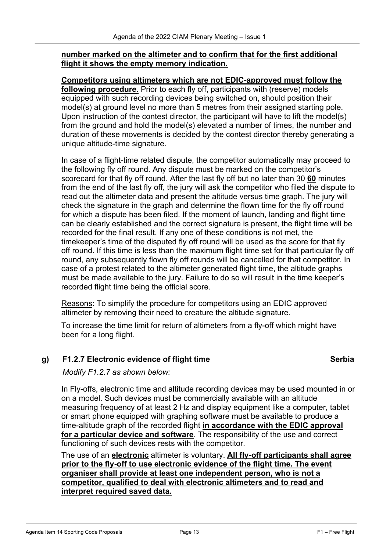#### **number marked on the altimeter and to confirm that for the first additional flight it shows the empty memory indication.**

**Competitors using altimeters which are not EDIC-approved must follow the following procedure.** Prior to each fly off, participants with (reserve) models equipped with such recording devices being switched on, should position their model(s) at ground level no more than 5 metres from their assigned starting pole. Upon instruction of the contest director, the participant will have to lift the model(s) from the ground and hold the model(s) elevated a number of times, the number and duration of these movements is decided by the contest director thereby generating a unique altitude-time signature.

In case of a flight-time related dispute, the competitor automatically may proceed to the following fly off round. Any dispute must be marked on the competitor's scorecard for that fly off round. After the last fly off but no later than 30 **60** minutes from the end of the last fly off, the jury will ask the competitor who filed the dispute to read out the altimeter data and present the altitude versus time graph. The jury will check the signature in the graph and determine the flown time for the fly off round for which a dispute has been filed. If the moment of launch, landing and flight time can be clearly established and the correct signature is present, the flight time will be recorded for the final result. If any one of these conditions is not met, the timekeeper's time of the disputed fly off round will be used as the score for that fly off round. If this time is less than the maximum flight time set for that particular fly off round, any subsequently flown fly off rounds will be cancelled for that competitor. In case of a protest related to the altimeter generated flight time, the altitude graphs must be made available to the jury. Failure to do so will result in the time keeper's recorded flight time being the official score.

Reasons: To simplify the procedure for competitors using an EDIC approved altimeter by removing their need to creature the altitude signature.

To increase the time limit for return of altimeters from a fly-off which might have been for a long flight.

### **g) F1.2.7 Electronic evidence of flight time Serbia**

*Modify F1.2.7 as shown below:*

In Fly-offs, electronic time and altitude recording devices may be used mounted in or on a model. Such devices must be commercially available with an altitude measuring frequency of at least 2 Hz and display equipment like a computer, tablet or smart phone equipped with graphing software must be available to produce a time-altitude graph of the recorded flight **in accordance with the EDIC approval for a particular device and software**. The responsibility of the use and correct functioning of such devices rests with the competitor.

The use of an **electronic** altimeter is voluntary. **All fly-off participants shall agree prior to the fly-off to use electronic evidence of the flight time. The event organiser shall provide at least one independent person, who is not a competitor, qualified to deal with electronic altimeters and to read and interpret required saved data.**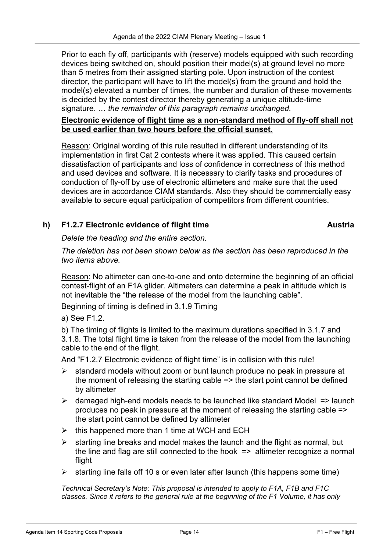Prior to each fly off, participants with (reserve) models equipped with such recording devices being switched on, should position their model(s) at ground level no more than 5 metres from their assigned starting pole. Upon instruction of the contest director, the participant will have to lift the model(s) from the ground and hold the model(s) elevated a number of times, the number and duration of these movements is decided by the contest director thereby generating a unique altitude-time signature. … *the remainder of this paragraph remains unchanged.*

#### **Electronic evidence of flight time as a non-standard method of fly-off shall not be used earlier than two hours before the official sunset.**

Reason: Original wording of this rule resulted in different understanding of its implementation in first Cat 2 contests where it was applied. This caused certain dissatisfaction of participants and loss of confidence in correctness of this method and used devices and software. It is necessary to clarify tasks and procedures of conduction of fly-off by use of electronic altimeters and make sure that the used devices are in accordance CIAM standards. Also they should be commercially easy available to secure equal participation of competitors from different countries.

### **h) F1.2.7 Electronic evidence of flight time Austria**

*Delete the heading and the entire section.*

*The deletion has not been shown below as the section has been reproduced in the two items above.*

Reason: No altimeter can one-to-one and onto determine the beginning of an official contest-flight of an F1A glider. Altimeters can determine a peak in altitude which is not inevitable the "the release of the model from the launching cable".

Beginning of timing is defined in 3.1.9 Timing

a) See F1.2.

b) The timing of flights is limited to the maximum durations specified in 3.1.7 and 3.1.8. The total flight time is taken from the release of the model from the launching cable to the end of the flight.

And "F1.2.7 Electronic evidence of flight time" is in collision with this rule!

- $\triangleright$  standard models without zoom or bunt launch produce no peak in pressure at the moment of releasing the starting cable => the start point cannot be defined by altimeter
- $\triangleright$  damaged high-end models needs to be launched like standard Model => launch produces no peak in pressure at the moment of releasing the starting cable => the start point cannot be defined by altimeter
- $\triangleright$  this happened more than 1 time at WCH and ECH
- starting line breaks and model makes the launch and the flight as normal, but the line and flag are still connected to the hook => altimeter recognize a normal flight
- Ø starting line falls off 10 s or even later after launch (this happens some time)

*Technical Secretary's Note: This proposal is intended to apply to F1A, F1B and F1C classes. Since it refers to the general rule at the beginning of the F1 Volume, it has only*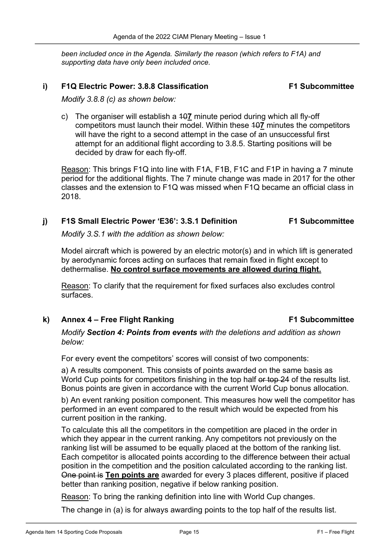*been included once in the Agenda. Similarly the reason (which refers to F1A) and supporting data have only been included once.*

#### **i) F1Q Electric Power: 3.8.8 Classification F1 Subcommittee**

*Modify 3.8.8 (c) as shown below:*

c) The organiser will establish a 10**7** minute period during which all fly-off competitors must launch their model. Within these 10**7** minutes the competitors will have the right to a second attempt in the case of an unsuccessful first attempt for an additional flight according to 3.8.5. Starting positions will be decided by draw for each fly-off.

Reason: This brings F1Q into line with F1A, F1B, F1C and F1P in having a 7 minute period for the additional flights. The 7 minute change was made in 2017 for the other classes and the extension to F1Q was missed when F1Q became an official class in 2018.

#### **j) F1S Small Electric Power 'E36': 3.S.1 Definition F1 Subcommittee**

*Modify 3.S.1 with the addition as shown below:*

Model aircraft which is powered by an electric motor(s) and in which lift is generated by aerodynamic forces acting on surfaces that remain fixed in flight except to dethermalise. **No control surface movements are allowed during flight.**

Reason: To clarify that the requirement for fixed surfaces also excludes control surfaces.

**k) Annex 4 – Free Flight Ranking F1 Subcommittee**

*Modify Section 4: Points from events with the deletions and addition as shown below:* 

For every event the competitors' scores will consist of two components:

a) A results component. This consists of points awarded on the same basis as World Cup points for competitors finishing in the top half or top 24 of the results list. Bonus points are given in accordance with the current World Cup bonus allocation.

b) An event ranking position component. This measures how well the competitor has performed in an event compared to the result which would be expected from his current position in the ranking.

To calculate this all the competitors in the competition are placed in the order in which they appear in the current ranking. Any competitors not previously on the ranking list will be assumed to be equally placed at the bottom of the ranking list. Each competitor is allocated points according to the difference between their actual position in the competition and the position calculated according to the ranking list. One point is **Ten points are** awarded for every 3 places different, positive if placed better than ranking position, negative if below ranking position.

Reason: To bring the ranking definition into line with World Cup changes.

The change in (a) is for always awarding points to the top half of the results list.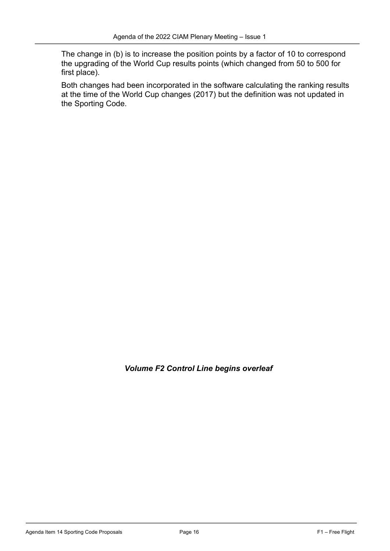The change in (b) is to increase the position points by a factor of 10 to correspond the upgrading of the World Cup results points (which changed from 50 to 500 for first place).

Both changes had been incorporated in the software calculating the ranking results at the time of the World Cup changes (2017) but the definition was not updated in the Sporting Code.

*Volume F2 Control Line begins overleaf*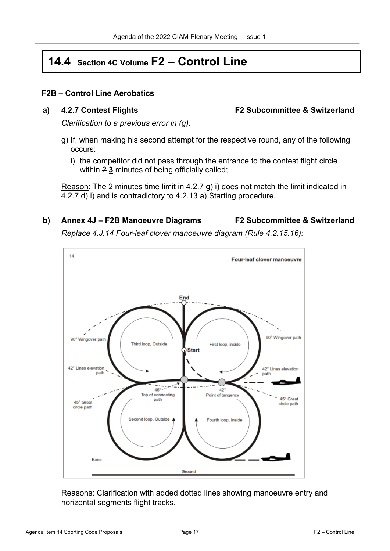# **14.4 Section 4C Volume F2 – Control Line**

#### **F2B – Control Line Aerobatics**

**a) 4.2.7 Contest Flights F2 Subcommittee & Switzerland**

*Clarification to a previous error in (g):*

- g) If, when making his second attempt for the respective round, any of the following occurs:
	- i) the competitor did not pass through the entrance to the contest flight circle within 2 **3** minutes of being officially called;

Reason: The 2 minutes time limit in 4.2.7 g) i) does not match the limit indicated in 4.2.7 d) i) and is contradictory to 4.2.13 a) Starting procedure.

# **b) Annex 4J – F2B Manoeuvre Diagrams F2 Subcommittee & Switzerland**

*Replace 4.J.14 Four-leaf clover manoeuvre diagram (Rule 4.2.15.16):*



Reasons: Clarification with added dotted lines showing manoeuvre entry and horizontal segments flight tracks.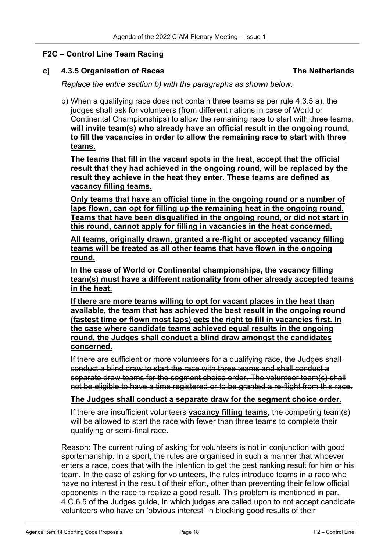#### **F2C – Control Line Team Racing**

#### **c) 4.3.5 Organisation of Races The Netherlands**

*Replace the entire section b) with the paragraphs as shown below:*

b) When a qualifying race does not contain three teams as per rule 4.3.5 a), the judges shall ask for volunteers (from different nations in case of World or Continental Championships) to allow the remaining race to start with three teams. **will invite team(s) who already have an official result in the ongoing round, to fill the vacancies in order to allow the remaining race to start with three teams.**

**The teams that fill in the vacant spots in the heat, accept that the official result that they had achieved in the ongoing round, will be replaced by the result they achieve in the heat they enter. These teams are defined as vacancy filling teams.**

**Only teams that have an official time in the ongoing round or a number of laps flown, can opt for filling up the remaining heat in the ongoing round. Teams that have been disqualified in the ongoing round, or did not start in this round, cannot apply for filling in vacancies in the heat concerned.**

**All teams, originally drawn, granted a re-flight or accepted vacancy filling teams will be treated as all other teams that have flown in the ongoing round.**

**In the case of World or Continental championships, the vacancy filling team(s) must have a different nationality from other already accepted teams in the heat.**

**If there are more teams willing to opt for vacant places in the heat than available, the team that has achieved the best result in the ongoing round (fastest time or flown most laps) gets the right to fill in vacancies first. In the case where candidate teams achieved equal results in the ongoing round, the Judges shall conduct a blind draw amongst the candidates concerned.**

If there are sufficient or more volunteers for a qualifying race, the Judges shall conduct a blind draw to start the race with three teams and shall conduct a separate draw teams for the segment choice order. The volunteer team(s) shall not be eligible to have a time registered or to be granted a re-flight from this race.

#### **The Judges shall conduct a separate draw for the segment choice order.**

If there are insufficient volunteers **vacancy filling teams**, the competing team(s) will be allowed to start the race with fewer than three teams to complete their qualifying or semi-final race.

Reason: The current ruling of asking for volunteers is not in conjunction with good sportsmanship. In a sport, the rules are organised in such a manner that whoever enters a race, does that with the intention to get the best ranking result for him or his team. In the case of asking for volunteers, the rules introduce teams in a race who have no interest in the result of their effort, other than preventing their fellow official opponents in the race to realize a good result. This problem is mentioned in par. 4.C.6.5 of the Judges guide, in which judges are called upon to not accept candidate volunteers who have an 'obvious interest' in blocking good results of their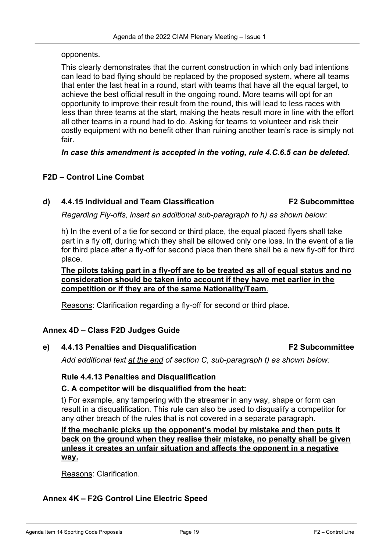opponents.

This clearly demonstrates that the current construction in which only bad intentions can lead to bad flying should be replaced by the proposed system, where all teams that enter the last heat in a round, start with teams that have all the equal target, to achieve the best official result in the ongoing round. More teams will opt for an opportunity to improve their result from the round, this will lead to less races with less than three teams at the start, making the heats result more in line with the effort all other teams in a round had to do. Asking for teams to volunteer and risk their costly equipment with no benefit other than ruining another team's race is simply not fair.

*In case this amendment is accepted in the voting, rule 4.C.6.5 can be deleted.*

#### **F2D – Control Line Combat**

#### **d) 4.4.15 Individual and Team Classification F2 Subcommittee**

*Regarding Fly-offs, insert an additional sub-paragraph to h) as shown below:*

h) In the event of a tie for second or third place, the equal placed flyers shall take part in a fly off, during which they shall be allowed only one loss. In the event of a tie for third place after a fly-off for second place then there shall be a new fly-off for third place.

**The pilots taking part in a fly-off are to be treated as all of equal status and no consideration should be taken into account if they have met earlier in the competition or if they are of the same Nationality/Team**.

Reasons: Clarification regarding a fly-off for second or third place**.**

#### **Annex 4D – Class F2D Judges Guide**

**e) 4.4.13 Penalties and Disqualification F2 Subcommittee**

*Add additional text at the end of section C, sub-paragraph t) as shown below:*

#### **Rule 4.4.13 Penalties and Disqualification**

#### **C. A competitor will be disqualified from the heat:**

t) For example, any tampering with the streamer in any way, shape or form can result in a disqualification. This rule can also be used to disqualify a competitor for any other breach of the rules that is not covered in a separate paragraph.

**If the mechanic picks up the opponent's model by mistake and then puts it back on the ground when they realise their mistake, no penalty shall be given unless it creates an unfair situation and affects the opponent in a negative way.**

Reasons: Clarification.

#### **Annex 4K – F2G Control Line Electric Speed**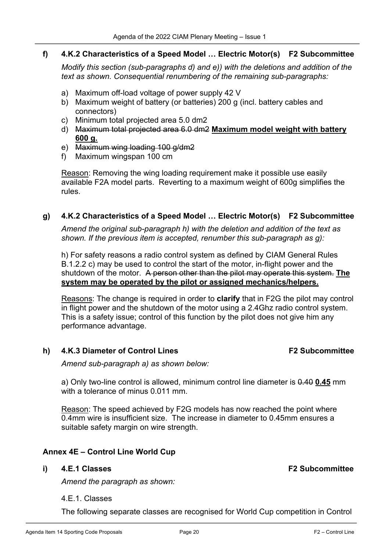#### **f) 4.K.2 Characteristics of a Speed Model … Electric Motor(s) F2 Subcommittee**

*Modify this section (sub-paragraphs d) and e)) with the deletions and addition of the text as shown. Consequential renumbering of the remaining sub-paragraphs:*

- a) Maximum off-load voltage of power supply 42 V
- b) Maximum weight of battery (or batteries) 200 g (incl. battery cables and connectors)
- c) Minimum total projected area 5.0 dm2
- d) Maximum total projected area 6.0 dm2 **Maximum model weight with battery 600 g.**
- e) Maximum wing loading 100 g/dm2
- f) Maximum wingspan 100 cm

Reason: Removing the wing loading requirement make it possible use easily available F2A model parts. Reverting to a maximum weight of 600g simplifies the rules.

#### **g) 4.K.2 Characteristics of a Speed Model … Electric Motor(s) F2 Subcommittee**

*Amend the original sub-paragraph h) with the deletion and addition of the text as shown. If the previous item is accepted, renumber this sub-paragraph as g):*

h) For safety reasons a radio control system as defined by CIAM General Rules B.1.2.2 c) may be used to control the start of the motor, in-flight power and the shutdown of the motor. A person other than the pilot may operate this system. **The system may be operated by the pilot or assigned mechanics/helpers.**

Reasons: The change is required in order to **clarify** that in F2G the pilot may control in flight power and the shutdown of the motor using a 2.4Ghz radio control system. This is a safety issue; control of this function by the pilot does not give him any performance advantage.

**h) 4.K.3 Diameter of Control Lines F2 Subcommittee**

*Amend sub-paragraph a) as shown below:*

a) Only two-line control is allowed, minimum control line diameter is 0.40 **0.45** mm with a tolerance of minus 0.011 mm.

Reason: The speed achieved by F2G models has now reached the point where 0.4mm wire is insufficient size. The increase in diameter to 0.45mm ensures a suitable safety margin on wire strength.

### **Annex 4E – Control Line World Cup**

#### **i) 4.E.1 Classes F2 Subcommittee**

*Amend the paragraph as shown:*

#### 4.E.1. Classes

The following separate classes are recognised for World Cup competition in Control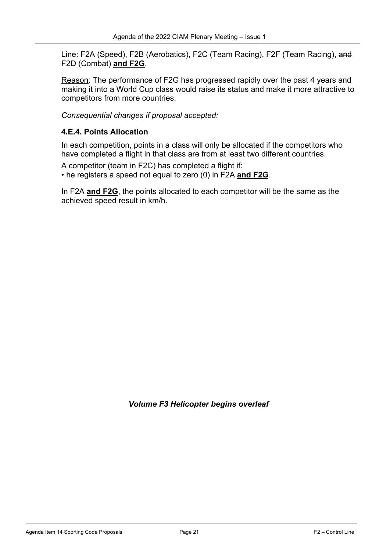Line: F2A (Speed), F2B (Aerobatics), F2C (Team Racing), F2F (Team Racing), and F2D (Combat) **and F2G**.

Reason: The performance of F2G has progressed rapidly over the past 4 years and making it into a World Cup class would raise its status and make it more attractive to competitors from more countries.

*Consequential changes if proposal accepted:*

#### **4.E.4. Points Allocation**

In each competition, points in a class will only be allocated if the competitors who have completed a flight in that class are from at least two different countries.

A competitor (team in F2C) has completed a flight if:

• he registers a speed not equal to zero (0) in F2A **and F2G**.

In F2A **and F2G**, the points allocated to each competitor will be the same as the achieved speed result in km/h.

*Volume F3 Helicopter begins overleaf*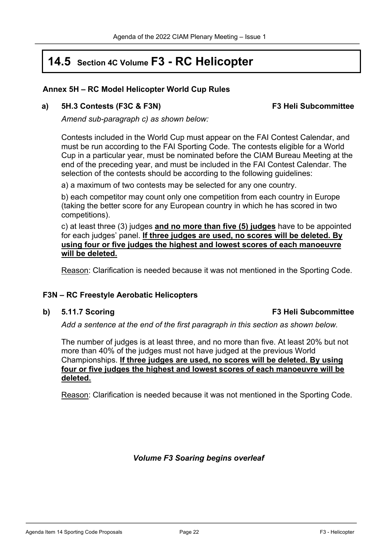# **14.5 Section 4C Volume F3 - RC Helicopter**

#### **Annex 5H – RC Model Helicopter World Cup Rules**

#### **a) 5H.3 Contests (F3C & F3N) F3 Heli Subcommittee**

*Amend sub-paragraph c) as shown below:*

Contests included in the World Cup must appear on the FAI Contest Calendar, and must be run according to the FAI Sporting Code. The contests eligible for a World Cup in a particular year, must be nominated before the CIAM Bureau Meeting at the end of the preceding year, and must be included in the FAI Contest Calendar. The selection of the contests should be according to the following guidelines:

a) a maximum of two contests may be selected for any one country.

b) each competitor may count only one competition from each country in Europe (taking the better score for any European country in which he has scored in two competitions).

c) at least three (3) judges **and no more than five (5) judges** have to be appointed for each judges' panel. **If three judges are used, no scores will be deleted. By using four or five judges the highest and lowest scores of each manoeuvre will be deleted.**

Reason: Clarification is needed because it was not mentioned in the Sporting Code.

#### **F3N – RC Freestyle Aerobatic Helicopters**

#### **b) 5.11.7 Scoring F3 Heli Subcommittee**

*Add a sentence at the end of the first paragraph in this section as shown below.*

The number of judges is at least three, and no more than five. At least 20% but not more than 40% of the judges must not have judged at the previous World Championships. **If three judges are used, no scores will be deleted. By using four or five judges the highest and lowest scores of each manoeuvre will be deleted.**

Reason: Clarification is needed because it was not mentioned in the Sporting Code.

*Volume F3 Soaring begins overleaf*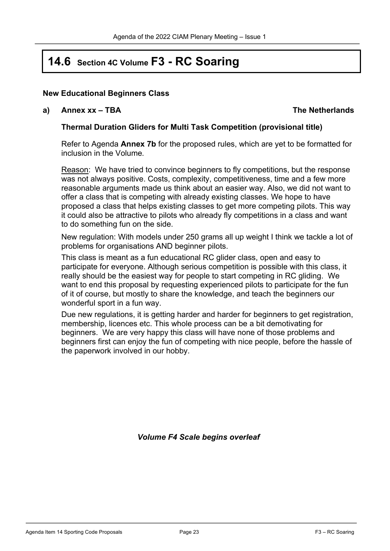# **14.6 Section 4C Volume F3 - RC Soaring**

#### **New Educational Beginners Class**

#### **a) Annex xx – TBA The Netherlands**

#### **Thermal Duration Gliders for Multi Task Competition (provisional title)**

Refer to Agenda **Annex 7b** for the proposed rules, which are yet to be formatted for inclusion in the Volume*.*

Reason: We have tried to convince beginners to fly competitions, but the response was not always positive. Costs, complexity, competitiveness, time and a few more reasonable arguments made us think about an easier way. Also, we did not want to offer a class that is competing with already existing classes. We hope to have proposed a class that helps existing classes to get more competing pilots. This way it could also be attractive to pilots who already fly competitions in a class and want to do something fun on the side.

New regulation: With models under 250 grams all up weight I think we tackle a lot of problems for organisations AND beginner pilots.

This class is meant as a fun educational RC glider class, open and easy to participate for everyone. Although serious competition is possible with this class, it really should be the easiest way for people to start competing in RC gliding. We want to end this proposal by requesting experienced pilots to participate for the fun of it of course, but mostly to share the knowledge, and teach the beginners our wonderful sport in a fun way.

Due new regulations, it is getting harder and harder for beginners to get registration, membership, licences etc. This whole process can be a bit demotivating for beginners. We are very happy this class will have none of those problems and beginners first can enjoy the fun of competing with nice people, before the hassle of the paperwork involved in our hobby.

*Volume F4 Scale begins overleaf*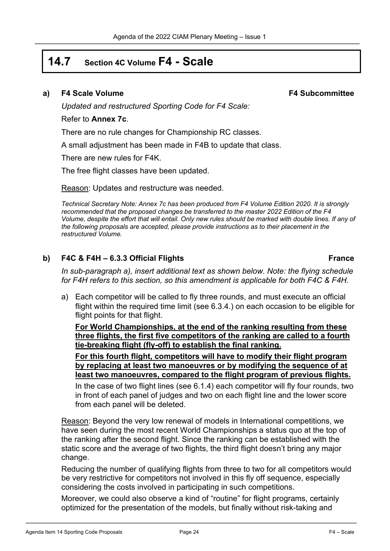## **14.7 Section 4C Volume F4 - Scale**

#### **a) F4 Scale Volume F4 Subcommittee**

*Updated and restructured Sporting Code for F4 Scale:*

#### Refer to **Annex 7c**.

There are no rule changes for Championship RC classes.

A small adjustment has been made in F4B to update that class.

There are new rules for F4K.

The free flight classes have been updated.

Reason: Updates and restructure was needed.

*Technical Secretary Note: Annex 7c has been produced from F4 Volume Edition 2020. It is strongly recommended that the proposed changes be transferred to the master 2022 Edition of the F4 Volume, despite the effort that will entail. Only new rules should be marked with double lines. If any of the following proposals are accepted, please provide instructions as to their placement in the restructured Volume.*

### **b) F4C & F4H – 6.3.3 Official Flights France**

*In sub-paragraph a), insert additional text as shown below. Note: the flying schedule for F4H refers to this section, so this amendment is applicable for both F4C & F4H.*

a) Each competitor will be called to fly three rounds, and must execute an official flight within the required time limit (see 6.3.4.) on each occasion to be eligible for flight points for that flight.

**For World Championships, at the end of the ranking resulting from these three flights, the first five competitors of the ranking are called to a fourth tie-breaking flight (fly-off) to establish the final ranking.**

**For this fourth flight, competitors will have to modify their flight program by replacing at least two manoeuvres or by modifying the sequence of at least two manoeuvres, compared to the flight program of previous flights.**

In the case of two flight lines (see 6.1.4) each competitor will fly four rounds, two in front of each panel of judges and two on each flight line and the lower score from each panel will be deleted.

Reason: Beyond the very low renewal of models in International competitions, we have seen during the most recent World Championships a status quo at the top of the ranking after the second flight. Since the ranking can be established with the static score and the average of two flights, the third flight doesn't bring any major change.

Reducing the number of qualifying flights from three to two for all competitors would be very restrictive for competitors not involved in this fly off sequence, especially considering the costs involved in participating in such competitions.

Moreover, we could also observe a kind of "routine" for flight programs, certainly optimized for the presentation of the models, but finally without risk-taking and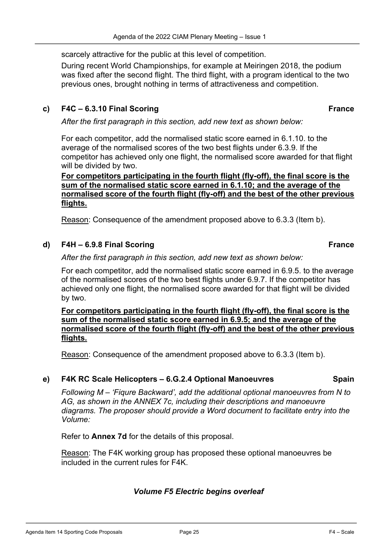scarcely attractive for the public at this level of competition.

During recent World Championships, for example at Meiringen 2018, the podium was fixed after the second flight. The third flight, with a program identical to the two previous ones, brought nothing in terms of attractiveness and competition.

#### **c) F4C – 6.3.10 Final Scoring France**

*After the first paragraph in this section, add new text as shown below:*

For each competitor, add the normalised static score earned in 6.1.10. to the average of the normalised scores of the two best flights under 6.3.9. If the competitor has achieved only one flight, the normalised score awarded for that flight will be divided by two.

**For competitors participating in the fourth flight (fly-off), the final score is the sum of the normalised static score earned in 6.1.10; and the average of the normalised score of the fourth flight (fly-off) and the best of the other previous flights.**

Reason: Consequence of the amendment proposed above to 6.3.3 (Item b).

#### **d) F4H – 6.9.8 Final Scoring France**

*After the first paragraph in this section, add new text as shown below:*

For each competitor, add the normalised static score earned in 6.9.5. to the average of the normalised scores of the two best flights under 6.9.7. If the competitor has achieved only one flight, the normalised score awarded for that flight will be divided by two.

**For competitors participating in the fourth flight (fly-off), the final score is the sum of the normalised static score earned in 6.9.5; and the average of the normalised score of the fourth flight (fly-off) and the best of the other previous flights.** 

Reason: Consequence of the amendment proposed above to 6.3.3 (Item b).

#### **e) F4K RC Scale Helicopters – 6.G.2.4 Optional Manoeuvres Spain**

*Following M – 'Fiqure Backward', add the additional optional manoeuvres from N to AG, as shown in the ANNEX 7c, including their descriptions and manoeuvre diagrams. The proposer should provide a Word document to facilitate entry into the Volume:*

Refer to **Annex 7d** for the details of this proposal.

Reason: The F4K working group has proposed these optional manoeuvres be included in the current rules for F4K.

#### *Volume F5 Electric begins overleaf*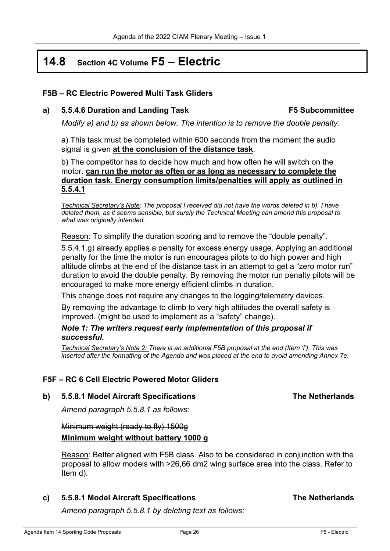# **14.8 Section 4C Volume F5 – Electric**

#### **F5B – RC Electric Powered Multi Task Gliders**

**a) 5.5.4.6 Duration and Landing Task F5 Subcommittee**

*Modify a) and b) as shown below. The intention is to remove the double penalty:*

a) This task must be completed within 600 seconds from the moment the audio signal is given **at the conclusion of the distance task**.

b) The competitor has to decide how much and how often he will switch on the motor. **can run the motor as often or as long as necessary to complete the duration task. Energy consumption limits/penalties will apply as outlined in 5.5.4.1**

*Technical Secretary's Note: The proposal I received did not have the words deleted in b). I have deleted them, as it seems sensible, but surely the Technical Meeting can amend this proposal to what was originally intended.*

Reason: To simplify the duration scoring and to remove the "double penalty".

5.5.4.1.g) already applies a penalty for excess energy usage. Applying an additional penalty for the time the motor is run encourages pilots to do high power and high altitude climbs at the end of the distance task in an attempt to get a "zero motor run" duration to avoid the double penalty. By removing the motor run penalty pilots will be encouraged to make more energy efficient climbs in duration.

This change does not require any changes to the logging/telemetry devices.

By removing the advantage to climb to very high altitudes the overall safety is improved. (might be used to implement as a "safety" change).

#### *Note 1: The writers request early implementation of this proposal if successful.*

*Technical Secretary's Note 2: There is an additional F5B proposal at the end (Item 'l'). This was inserted after the formatting of the Agenda and was placed at the end to avoid amending Annex 7e.*

#### **F5F – RC 6 Cell Electric Powered Motor Gliders**

**b) 5.5.8.1 Model Aircraft Specifications The Netherlands**

*Amend paragraph 5.5.8.1 as follows:*

Minimum weight (ready to fly) 1500g **Minimum weight without battery 1000 g**

Reason: Better aligned with F5B class. Also to be considered in conjunction with the proposal to allow models with >26,66 dm2 wing surface area into the class. Refer to Item d).

**c) 5.5.8.1 Model Aircraft Specifications The Netherlands**

*Amend paragraph 5.5.8.1 by deleting text as follows:*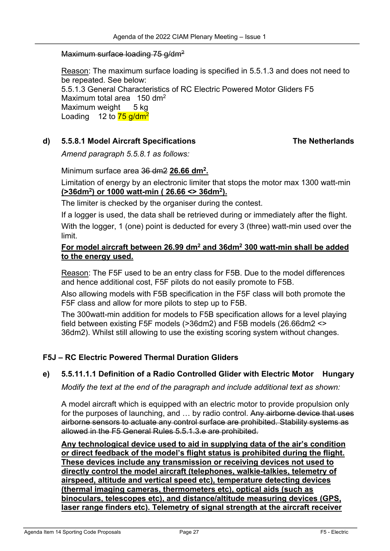#### Maximum surface loading 75 g/dm<sup>2</sup>

Reason: The maximum surface loading is specified in 5.5.1.3 and does not need to be repeated. See below: 5.5.1.3 General Characteristics of RC Electric Powered Motor Gliders F5 Maximum total area 150 dm<sup>2</sup> Maximum weight 5 kg Loading 12 to  $\frac{75 \text{ g/dm}^2}{ }$ 

#### **d) 5.5.8.1 Model Aircraft Specifications The Netherlands**

*Amend paragraph 5.5.8.1 as follows:*

Minimum surface area 36 dm2 **26.66 dm2.**

Limitation of energy by an electronic limiter that stops the motor max 1300 watt-min **(>36dm2) or 1000 watt-min ( 26.66 <> 36dm2).**

The limiter is checked by the organiser during the contest.

If a logger is used, the data shall be retrieved during or immediately after the flight.

With the logger, 1 (one) point is deducted for every 3 (three) watt-min used over the limit.

#### **For model aircraft between 26.99 dm2 and 36dm2 300 watt-min shall be added to the energy used.**

Reason: The F5F used to be an entry class for F5B. Due to the model differences and hence additional cost, F5F pilots do not easily promote to F5B.

Also allowing models with F5B specification in the F5F class will both promote the F5F class and allow for more pilots to step up to F5B.

The 300watt-min addition for models to F5B specification allows for a level playing field between existing F5F models (>36dm2) and F5B models (26.66dm2 <> 36dm2). Whilst still allowing to use the existing scoring system without changes.

### **F5J – RC Electric Powered Thermal Duration Gliders**

#### **e) 5.5.11.1.1 Definition of a Radio Controlled Glider with Electric Motor Hungary**

*Modify the text at the end of the paragraph and include additional text as shown:*

A model aircraft which is equipped with an electric motor to provide propulsion only for the purposes of launching, and ... by radio control. Any airborne device that uses airborne sensors to actuate any control surface are prohibited. Stability systems as allowed in the F5 General Rules 5.5.1.3.e are prohibited.

**Any technological device used to aid in supplying data of the air's condition or direct feedback of the model's flight status is prohibited during the flight. These devices include any transmission or receiving devices not used to directly control the model aircraft (telephones, walkie-talkies, telemetry of airspeed, altitude and vertical speed etc), temperature detecting devices (thermal imaging cameras, thermometers etc), optical aids (such as binoculars, telescopes etc), and distance/altitude measuring devices (GPS, laser range finders etc). Telemetry of signal strength at the aircraft receiver**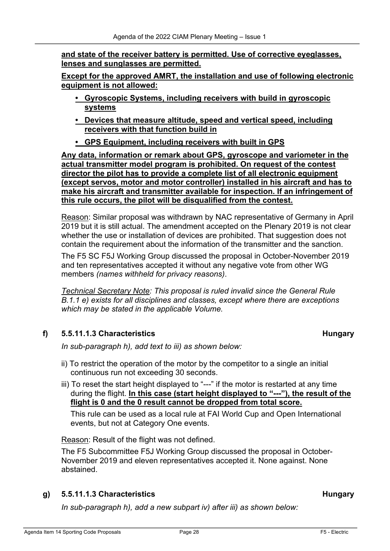**and state of the receiver battery is permitted. Use of corrective eyeglasses, lenses and sunglasses are permitted.** 

**Except for the approved AMRT, the installation and use of following electronic equipment is not allowed:** 

- **• Gyroscopic Systems, including receivers with build in gyroscopic systems**
- **• Devices that measure altitude, speed and vertical speed, including receivers with that function build in**
- **• GPS Equipment, including receivers with built in GPS**

**Any data, information or remark about GPS, gyroscope and variometer in the actual transmitter model program is prohibited. On request of the contest director the pilot has to provide a complete list of all electronic equipment (except servos, motor and motor controller) installed in his aircraft and has to make his aircraft and transmitter available for inspection. If an infringement of this rule occurs, the pilot will be disqualified from the contest.** 

Reason: Similar proposal was withdrawn by NAC representative of Germany in April 2019 but it is still actual. The amendment accepted on the Plenary 2019 is not clear whether the use or installation of devices are prohibited. That suggestion does not contain the requirement about the information of the transmitter and the sanction.

The F5 SC F5J Working Group discussed the proposal in October-November 2019 and ten representatives accepted it without any negative vote from other WG members *(names withheld for privacy reasons)*.

*Technical Secretary Note: This proposal is ruled invalid since the General Rule B.1.1 e) exists for all disciplines and classes, except where there are exceptions which may be stated in the applicable Volume.*

### **f) 5.5.11.1.3 Characteristics Hungary**

*In sub-paragraph h), add text to iii) as shown below:*

- ii) To restrict the operation of the motor by the competitor to a single an initial continuous run not exceeding 30 seconds.
- iii) To reset the start height displayed to "---" if the motor is restarted at any time during the flight. **In this case (start height displayed to "---"), the result of the flight is 0 and the 0 result cannot be dropped from total score.**

This rule can be used as a local rule at FAI World Cup and Open International events, but not at Category One events.

Reason: Result of the flight was not defined.

The F5 Subcommittee F5J Working Group discussed the proposal in October-November 2019 and eleven representatives accepted it. None against. None abstained.

### **g) 5.5.11.1.3 Characteristics Hungary**

*In sub-paragraph h), add a new subpart iv) after iii) as shown below:*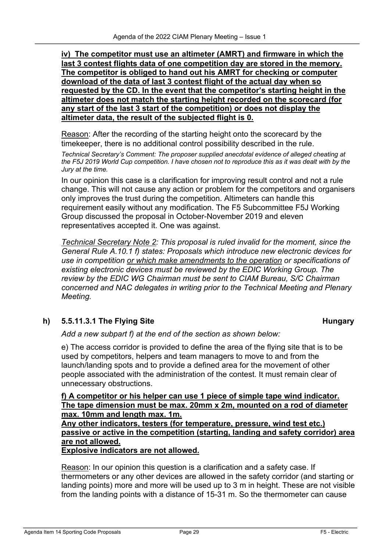**iv) The competitor must use an altimeter (AMRT) and firmware in which the last 3 contest flights data of one competition day are stored in the memory. The competitor is obliged to hand out his AMRT for checking or computer download of the data of last 3 contest flight of the actual day when so requested by the CD. In the event that the competitor's starting height in the altimeter does not match the starting height recorded on the scorecard (for any start of the last 3 start of the competition) or does not display the altimeter data, the result of the subjected flight is 0.** 

Reason: After the recording of the starting height onto the scorecard by the timekeeper, there is no additional control possibility described in the rule.

*Technical Secretary's Comment: The proposer supplied anecdotal evidence of alleged cheating at the F5J 2019 World Cup competition. I have chosen not to reproduce this as it was dealt with by the Jury at the time.*

In our opinion this case is a clarification for improving result control and not a rule change. This will not cause any action or problem for the competitors and organisers only improves the trust during the competition. Altimeters can handle this requirement easily without any modification. The F5 Subcommittee F5J Working Group discussed the proposal in October-November 2019 and eleven representatives accepted it. One was against.

*Technical Secretary Note 2: This proposal is ruled invalid for the moment, since the General Rule A.10.1 f) states: Proposals which introduce new electronic devices for use in competition or which make amendments to the operation or specifications of existing electronic devices must be reviewed by the EDIC Working Group. The review by the EDIC WG Chairman must be sent to CIAM Bureau, S/C Chairman concerned and NAC delegates in writing prior to the Technical Meeting and Plenary Meeting.*

### **h) 5.5.11.3.1 The Flying Site Hungary**

*Add a new subpart f) at the end of the section as shown below:*

e) The access corridor is provided to define the area of the flying site that is to be used by competitors, helpers and team managers to move to and from the launch/landing spots and to provide a defined area for the movement of other people associated with the administration of the contest. It must remain clear of unnecessary obstructions.

#### **f) A competitor or his helper can use 1 piece of simple tape wind indicator. The tape dimension must be max. 20mm x 2m, mounted on a rod of diameter max. 10mm and length max. 1m.**

**Any other indicators, testers (for temperature, pressure, wind test etc.) passive or active in the competition (starting, landing and safety corridor) area are not allowed.** 

**Explosive indicators are not allowed.** 

Reason: In our opinion this question is a clarification and a safety case. If thermometers or any other devices are allowed in the safety corridor (and starting or landing points) more and more will be used up to 3 m in height. These are not visible from the landing points with a distance of 15-31 m. So the thermometer can cause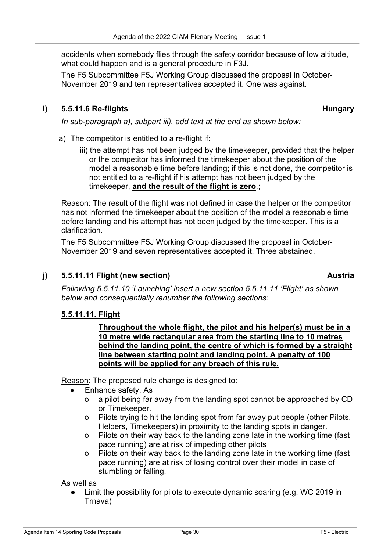accidents when somebody flies through the safety corridor because of low altitude, what could happen and is a general procedure in F3J.

The F5 Subcommittee F5J Working Group discussed the proposal in October-November 2019 and ten representatives accepted it. One was against.

#### **i) 5.5.11.6 Re-flights Hungary**

*In sub-paragraph a), subpart iii), add text at the end as shown below:*

- a) The competitor is entitled to a re-flight if:
	- iii) the attempt has not been judged by the timekeeper, provided that the helper or the competitor has informed the timekeeper about the position of the model a reasonable time before landing; if this is not done, the competitor is not entitled to a re-flight if his attempt has not been judged by the timekeeper, **and the result of the flight is zero**.;

Reason: The result of the flight was not defined in case the helper or the competitor has not informed the timekeeper about the position of the model a reasonable time before landing and his attempt has not been judged by the timekeeper. This is a clarification.

The F5 Subcommittee F5J Working Group discussed the proposal in October-November 2019 and seven representatives accepted it. Three abstained.

#### **j) 5.5.11.11 Flight (new section) Austria**

*Following 5.5.11.10 'Launching' insert a new section 5.5.11.11 'Flight' as shown below and consequentially renumber the following sections:*

#### **5.5.11.11. Flight**

**Throughout the whole flight, the pilot and his helper(s) must be in a 10 metre wide rectangular area from the starting line to 10 metres behind the landing point, the centre of which is formed by a straight line between starting point and landing point. A penalty of 100 points will be applied for any breach of this rule.** 

Reason: The proposed rule change is designed to:

- Enhance safety. As
	- o a pilot being far away from the landing spot cannot be approached by CD or Timekeeper.
	- o Pilots trying to hit the landing spot from far away put people (other Pilots, Helpers, Timekeepers) in proximity to the landing spots in danger.
	- o Pilots on their way back to the landing zone late in the working time (fast pace running) are at risk of impeding other pilots
	- o Pilots on their way back to the landing zone late in the working time (fast pace running) are at risk of losing control over their model in case of stumbling or falling.

As well as

Limit the possibility for pilots to execute dynamic soaring (e.g. WC 2019 in Trnava)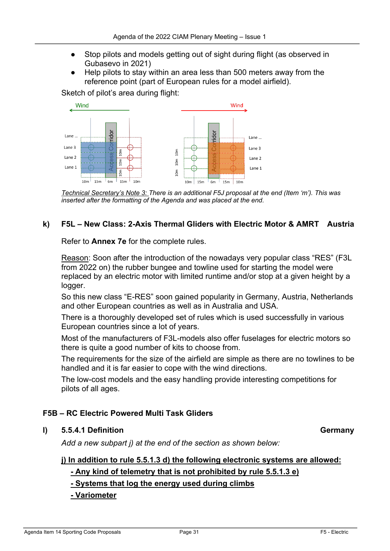- Stop pilots and models getting out of sight during flight (as observed in Gubasevo in 2021)
- Help pilots to stay within an area less than 500 meters away from the reference point (part of European rules for a model airfield).

Sketch of pilot's area during flight:



*Technical Secretary's Note 3: There is an additional F5J proposal at the end (Item 'm'). This was inserted after the formatting of the Agenda and was placed at the end.* 

### **k) F5L – New Class: 2-Axis Thermal Gliders with Electric Motor & AMRT Austria**

Refer to **Annex 7e** for the complete rules.

Reason: Soon after the introduction of the nowadays very popular class "RES" (F3L from 2022 on) the rubber bungee and towline used for starting the model were replaced by an electric motor with limited runtime and/or stop at a given height by a logger.

So this new class "E-RES" soon gained popularity in Germany, Austria, Netherlands and other European countries as well as in Australia and USA.

There is a thoroughly developed set of rules which is used successfully in various European countries since a lot of years.

Most of the manufacturers of F3L-models also offer fuselages for electric motors so there is quite a good number of kits to choose from.

The requirements for the size of the airfield are simple as there are no towlines to be handled and it is far easier to cope with the wind directions.

The low-cost models and the easy handling provide interesting competitions for pilots of all ages.

### **F5B – RC Electric Powered Multi Task Gliders**

#### **l) 5.5.4.1 Definition Germany**

*Add a new subpart j) at the end of the section as shown below:*

#### **j) In addition to rule 5.5.1.3 d) the following electronic systems are allowed:**

**- Any kind of telemetry that is not prohibited by rule 5.5.1.3 e)**

**- Systems that log the energy used during climbs**

#### **- Variometer**

Agenda Item 14 Sporting Code Proposals **Page 31** Page 31 **F5** - Electric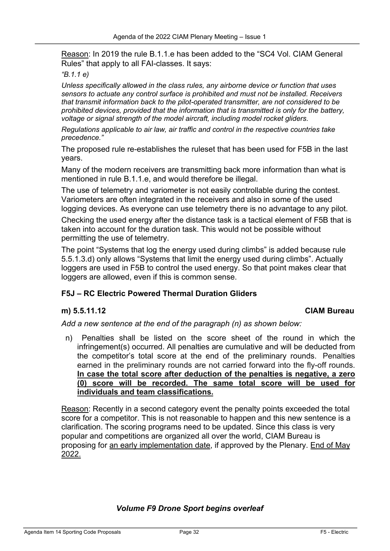Reason: In 2019 the rule B.1.1.e has been added to the "SC4 Vol. CIAM General Rules" that apply to all FAI-classes. It says:

#### *"B.1.1 e)*

*Unless specifically allowed in the class rules, any airborne device or function that uses sensors to actuate any control surface is prohibited and must not be installed. Receivers that transmit information back to the pilot-operated transmitter, are not considered to be prohibited devices, provided that the information that is transmitted is only for the battery, voltage or signal strength of the model aircraft, including model rocket gliders.*

*Regulations applicable to air law, air traffic and control in the respective countries take precedence."*

The proposed rule re-establishes the ruleset that has been used for F5B in the last years.

Many of the modern receivers are transmitting back more information than what is mentioned in rule B.1.1.e, and would therefore be illegal.

The use of telemetry and variometer is not easily controllable during the contest. Variometers are often integrated in the receivers and also in some of the used logging devices. As everyone can use telemetry there is no advantage to any pilot.

Checking the used energy after the distance task is a tactical element of F5B that is taken into account for the duration task. This would not be possible without permitting the use of telemetry.

The point "Systems that log the energy used during climbs" is added because rule 5.5.1.3.d) only allows "Systems that limit the energy used during climbs". Actually loggers are used in F5B to control the used energy. So that point makes clear that loggers are allowed, even if this is common sense.

#### **F5J – RC Electric Powered Thermal Duration Gliders**

#### **m) 5.5.11.12 CIAM Bureau**

*Add a new sentence at the end of the paragraph (n) as shown below:*

n) Penalties shall be listed on the score sheet of the round in which the infringement(s) occurred. All penalties are cumulative and will be deducted from the competitor's total score at the end of the preliminary rounds. Penalties earned in the preliminary rounds are not carried forward into the fly-off rounds. **In case the total score after deduction of the penalties is negative, a zero (0) score will be recorded. The same total score will be used for individuals and team classifications.**

Reason: Recently in a second category event the penalty points exceeded the total score for a competitor. This is not reasonable to happen and this new sentence is a clarification. The scoring programs need to be updated. Since this class is very popular and competitions are organized all over the world, CIAM Bureau is proposing for an early implementation date, if approved by the Plenary. End of May 2022.

#### *Volume F9 Drone Sport begins overleaf*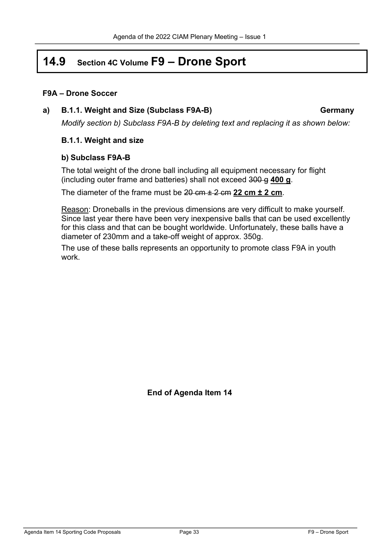# **14.9 Section 4C Volume F9 – Drone Sport**

#### **F9A – Drone Soccer**

#### **a) B.1.1. Weight and Size (Subclass F9A-B) Germany**

*Modify section b) Subclass F9A-B by deleting text and replacing it as shown below:*

#### **B.1.1. Weight and size**

#### **b) Subclass F9A-B**

The total weight of the drone ball including all equipment necessary for flight (including outer frame and batteries) shall not exceed 300 g **400 g**.

The diameter of the frame must be 20 cm ± 2 cm **22 cm ± 2 cm**.

Reason: Droneballs in the previous dimensions are very difficult to make yourself. Since last year there have been very inexpensive balls that can be used excellently for this class and that can be bought worldwide. Unfortunately, these balls have a diameter of 230mm and a take-off weight of approx. 350g.

The use of these balls represents an opportunity to promote class F9A in youth work.

**End of Agenda Item 14**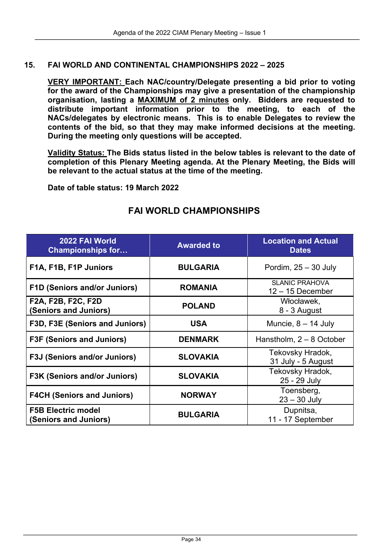#### **15. FAI WORLD AND CONTINENTAL CHAMPIONSHIPS 2022 – 2025**

**VERY IMPORTANT: Each NAC/country/Delegate presenting a bid prior to voting for the award of the Championships may give a presentation of the championship organisation, lasting a MAXIMUM of 2 minutes only. Bidders are requested to distribute important information prior to the meeting, to each of the NACs/delegates by electronic means. This is to enable Delegates to review the contents of the bid, so that they may make informed decisions at the meeting. During the meeting only questions will be accepted.** 

**Validity Status: The Bids status listed in the below tables is relevant to the date of completion of this Plenary Meeting agenda. At the Plenary Meeting, the Bids will be relevant to the actual status at the time of the meeting.**

**Date of table status: 19 March 2022**

| 2022 FAI World<br><b>Championships for</b>         | <b>Awarded to</b> | <b>Location and Actual</b><br><b>Dates</b>  |
|----------------------------------------------------|-------------------|---------------------------------------------|
| F1A, F1B, F1P Juniors                              | <b>BULGARIA</b>   | Pordim, $25 - 30$ July                      |
| <b>F1D (Seniors and/or Juniors)</b>                | <b>ROMANIA</b>    | <b>SLANIC PRAHOVA</b><br>$12 - 15$ December |
| F2A, F2B, F2C, F2D<br>(Seniors and Juniors)        | <b>POLAND</b>     | Włocławek,<br>8 - 3 August                  |
| F3D, F3E (Seniors and Juniors)                     | <b>USA</b>        | Muncie, $8 - 14$ July                       |
| <b>F3F (Seniors and Juniors)</b>                   | <b>DENMARK</b>    | Hanstholm, $2 - 8$ October                  |
| <b>F3J (Seniors and/or Juniors)</b>                | <b>SLOVAKIA</b>   | Tekovsky Hradok,<br>31 July - 5 August      |
| <b>F3K (Seniors and/or Juniors)</b>                | <b>SLOVAKIA</b>   | Tekovsky Hradok,<br>25 - 29 July            |
| <b>F4CH (Seniors and Juniors)</b>                  | <b>NORWAY</b>     | Toensberg,<br>$23 - 30$ July                |
| <b>F5B Electric model</b><br>(Seniors and Juniors) | <b>BULGARIA</b>   | Dupnitsa,<br>11 - 17 September              |

### **FAI WORLD CHAMPIONSHIPS**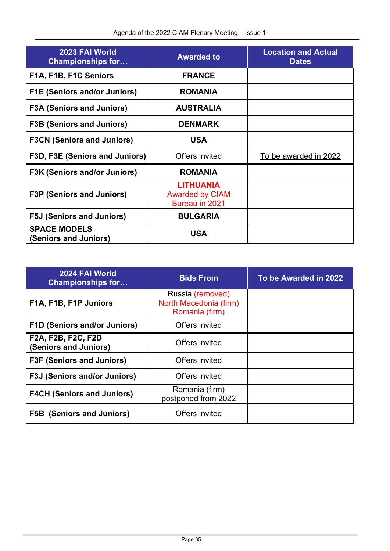| 2023 FAI World<br><b>Championships for</b>   | <b>Awarded to</b>                                            | <b>Location and Actual</b><br><b>Dates</b> |
|----------------------------------------------|--------------------------------------------------------------|--------------------------------------------|
| F1A, F1B, F1C Seniors                        | <b>FRANCE</b>                                                |                                            |
| <b>F1E (Seniors and/or Juniors)</b>          | <b>ROMANIA</b>                                               |                                            |
| <b>F3A (Seniors and Juniors)</b>             | <b>AUSTRALIA</b>                                             |                                            |
| <b>F3B (Seniors and Juniors)</b>             | <b>DENMARK</b>                                               |                                            |
| <b>F3CN (Seniors and Juniors)</b>            | <b>USA</b>                                                   |                                            |
| F3D, F3E (Seniors and Juniors)               | Offers invited                                               | To be awarded in 2022                      |
| <b>F3K (Seniors and/or Juniors)</b>          | <b>ROMANIA</b>                                               |                                            |
| <b>F3P (Seniors and Juniors)</b>             | <b>LITHUANIA</b><br><b>Awarded by CIAM</b><br>Bureau in 2021 |                                            |
| <b>F5J (Seniors and Juniors)</b>             | <b>BULGARIA</b>                                              |                                            |
| <b>SPACE MODELS</b><br>(Seniors and Juniors) | <b>USA</b>                                                   |                                            |

| 2024 FAI World<br><b>Championships for</b>         | <b>Bids From</b>                                             | To be Awarded in 2022 |
|----------------------------------------------------|--------------------------------------------------------------|-----------------------|
| F1A, F1B, F1P Juniors                              | Russia (removed)<br>North Macedonia (firm)<br>Romania (firm) |                       |
| <b>F1D (Seniors and/or Juniors)</b>                | Offers invited                                               |                       |
| <b>F2A, F2B, F2C, F2D</b><br>(Seniors and Juniors) | Offers invited                                               |                       |
| <b>F3F (Seniors and Juniors)</b>                   | Offers invited                                               |                       |
| <b>F3J (Seniors and/or Juniors)</b>                | Offers invited                                               |                       |
| <b>F4CH (Seniors and Juniors)</b>                  | Romania (firm)<br>postponed from 2022                        |                       |
| (Seniors and Juniors)<br>F5B l                     | Offers invited                                               |                       |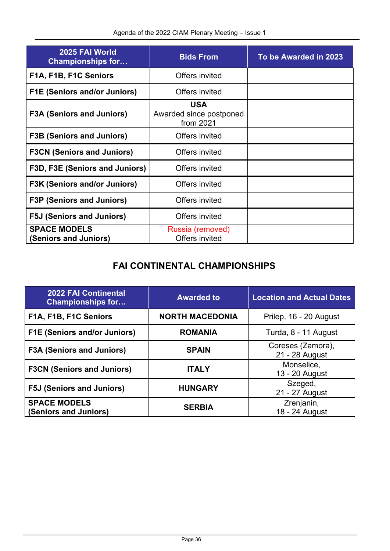| 2025 FAI World<br><b>Championships for</b>   | <b>Bids From</b>                                   | To be Awarded in 2023 |
|----------------------------------------------|----------------------------------------------------|-----------------------|
| F1A, F1B, F1C Seniors                        | Offers invited                                     |                       |
| <b>F1E (Seniors and/or Juniors)</b>          | Offers invited                                     |                       |
| <b>F3A (Seniors and Juniors)</b>             | <b>USA</b><br>Awarded since postponed<br>from 2021 |                       |
| <b>F3B (Seniors and Juniors)</b>             | Offers invited                                     |                       |
| <b>F3CN (Seniors and Juniors)</b>            | Offers invited                                     |                       |
| F3D, F3E (Seniors and Juniors)               | Offers invited                                     |                       |
| <b>F3K (Seniors and/or Juniors)</b>          | Offers invited                                     |                       |
| <b>F3P (Seniors and Juniors)</b>             | Offers invited                                     |                       |
| <b>F5J (Seniors and Juniors)</b>             | Offers invited                                     |                       |
| <b>SPACE MODELS</b><br>(Seniors and Juniors) | Russia (removed)<br>Offers invited                 |                       |

## **FAI CONTINENTAL CHAMPIONSHIPS**

| <b>2022 FAI Continental</b><br><b>Championships for</b> | <b>Awarded to</b>      | <b>Location and Actual Dates</b>    |
|---------------------------------------------------------|------------------------|-------------------------------------|
| F1A, F1B, F1C Seniors                                   | <b>NORTH MACEDONIA</b> | Prilep, 16 - 20 August              |
| <b>F1E (Seniors and/or Juniors)</b>                     | <b>ROMANIA</b>         | Turda, 8 - 11 August                |
| <b>F3A (Seniors and Juniors)</b>                        | <b>SPAIN</b>           | Coreses (Zamora),<br>21 - 28 August |
| <b>F3CN (Seniors and Juniors)</b>                       | <b>ITALY</b>           | Monselice,<br>13 - 20 August        |
| <b>F5J (Seniors and Juniors)</b>                        | <b>HUNGARY</b>         | Szeged,<br>21 - 27 August           |
| <b>SPACE MODELS</b><br>(Seniors and Juniors)            | <b>SERBIA</b>          | Zrenjanin,<br>18 - 24 August        |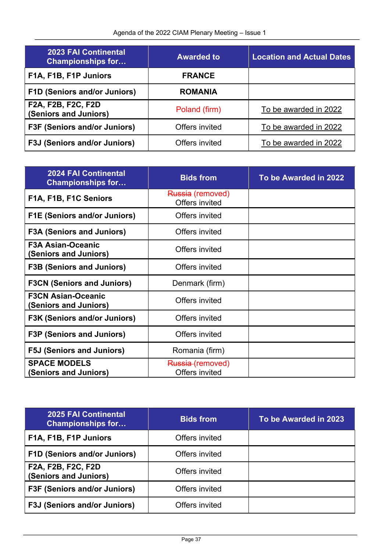| <b>2023 FAI Continental</b><br><b>Championships for</b> | <b>Awarded to</b> | <b>Location and Actual Dates</b> |
|---------------------------------------------------------|-------------------|----------------------------------|
| F1A, F1B, F1P Juniors                                   | <b>FRANCE</b>     |                                  |
| <b>F1D (Seniors and/or Juniors)</b>                     | <b>ROMANIA</b>    |                                  |
| F2A, F2B, F2C, F2D<br>(Seniors and Juniors)             | Poland (firm)     | To be awarded in 2022            |
| <b>F3F (Seniors and/or Juniors)</b>                     | Offers invited    | To be awarded in 2022            |
| <b>F3J (Seniors and/or Juniors)</b>                     | Offers invited    | To be awarded in 2022            |

| <b>2024 FAI Continental</b><br><b>Championships for</b> | <b>Bids from</b>                   | To be Awarded in 2022 |
|---------------------------------------------------------|------------------------------------|-----------------------|
| F1A, F1B, F1C Seniors                                   | Russia (removed)<br>Offers invited |                       |
| <b>F1E (Seniors and/or Juniors)</b>                     | Offers invited                     |                       |
| <b>F3A (Seniors and Juniors)</b>                        | Offers invited                     |                       |
| <b>F3A Asian-Oceanic</b><br>(Seniors and Juniors)       | Offers invited                     |                       |
| <b>F3B (Seniors and Juniors)</b>                        | Offers invited                     |                       |
| <b>F3CN (Seniors and Juniors)</b>                       | Denmark (firm)                     |                       |
| <b>F3CN Asian-Oceanic</b><br>(Seniors and Juniors)      | Offers invited                     |                       |
| <b>F3K (Seniors and/or Juniors)</b>                     | Offers invited                     |                       |
| <b>F3P (Seniors and Juniors)</b>                        | Offers invited                     |                       |
| <b>F5J (Seniors and Juniors)</b>                        | Romania (firm)                     |                       |
| <b>SPACE MODELS</b><br>(Seniors and Juniors)            | Russia (removed)<br>Offers invited |                       |

| <b>2025 FAI Continental</b><br><b>Championships for</b> | <b>Bids from</b> | To be Awarded in 2023 |
|---------------------------------------------------------|------------------|-----------------------|
| F1A, F1B, F1P Juniors                                   | Offers invited   |                       |
| <b>F1D (Seniors and/or Juniors)</b>                     | Offers invited   |                       |
| F2A, F2B, F2C, F2D<br>(Seniors and Juniors)             | Offers invited   |                       |
| <b>F3F (Seniors and/or Juniors)</b>                     | Offers invited   |                       |
| <b>F3J (Seniors and/or Juniors)</b>                     | Offers invited   |                       |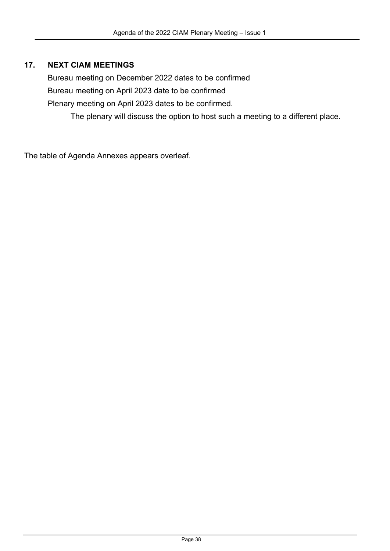### **17. NEXT CIAM MEETINGS**

Bureau meeting on December 2022 dates to be confirmed Bureau meeting on April 2023 date to be confirmed Plenary meeting on April 2023 dates to be confirmed.

The plenary will discuss the option to host such a meeting to a different place.

The table of Agenda Annexes appears overleaf.